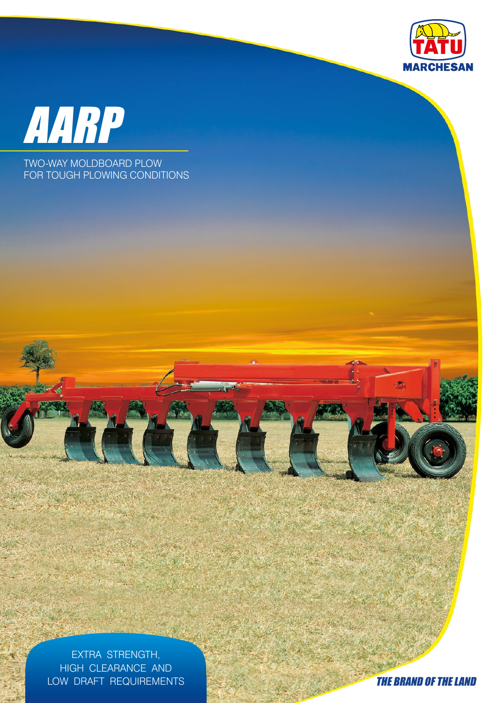



TWO-WAY MOLDBOARD PLOW FOR TOUGH PLOWING CONDITIONS

> EXTRA STRENGTH, HIGH CLEARANCE AND LOW DRAFT REQUIREMENTS THE BRAND OF THE LAND